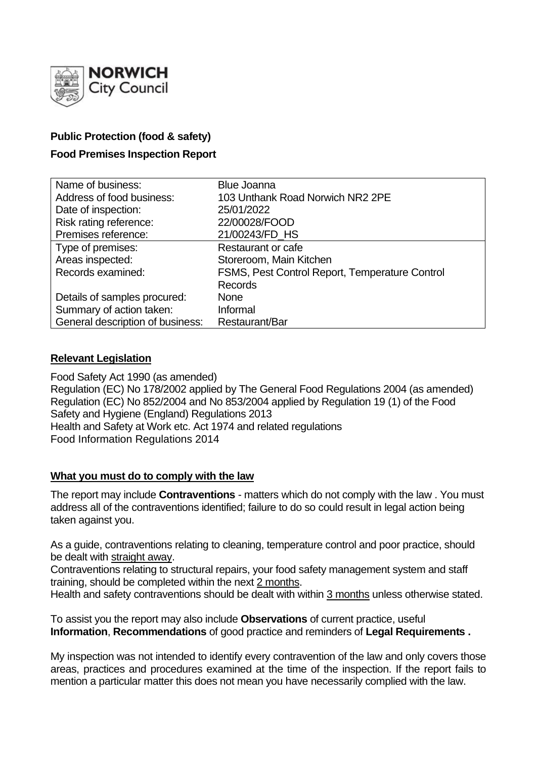

# **Public Protection (food & safety)**

# **Food Premises Inspection Report**

| Name of business:                | <b>Blue Joanna</b>                             |
|----------------------------------|------------------------------------------------|
| Address of food business:        | 103 Unthank Road Norwich NR2 2PE               |
| Date of inspection:              | 25/01/2022                                     |
| Risk rating reference:           | 22/00028/FOOD                                  |
| Premises reference:              | 21/00243/FD HS                                 |
| Type of premises:                | <b>Restaurant or cafe</b>                      |
| Areas inspected:                 | Storeroom, Main Kitchen                        |
| Records examined:                | FSMS, Pest Control Report, Temperature Control |
|                                  | <b>Records</b>                                 |
| Details of samples procured:     | <b>None</b>                                    |
| Summary of action taken:         | Informal                                       |
| General description of business: | Restaurant/Bar                                 |

# **Relevant Legislation**

Food Safety Act 1990 (as amended) Regulation (EC) No 178/2002 applied by The General Food Regulations 2004 (as amended) Regulation (EC) No 852/2004 and No 853/2004 applied by Regulation 19 (1) of the Food Safety and Hygiene (England) Regulations 2013 Health and Safety at Work etc. Act 1974 and related regulations Food Information Regulations 2014

# **What you must do to comply with the law**

The report may include **Contraventions** - matters which do not comply with the law . You must address all of the contraventions identified; failure to do so could result in legal action being taken against you.

As a guide, contraventions relating to cleaning, temperature control and poor practice, should be dealt with straight away.

Contraventions relating to structural repairs, your food safety management system and staff training, should be completed within the next 2 months.

Health and safety contraventions should be dealt with within 3 months unless otherwise stated.

To assist you the report may also include **Observations** of current practice, useful **Information**, **Recommendations** of good practice and reminders of **Legal Requirements .**

My inspection was not intended to identify every contravention of the law and only covers those areas, practices and procedures examined at the time of the inspection. If the report fails to mention a particular matter this does not mean you have necessarily complied with the law.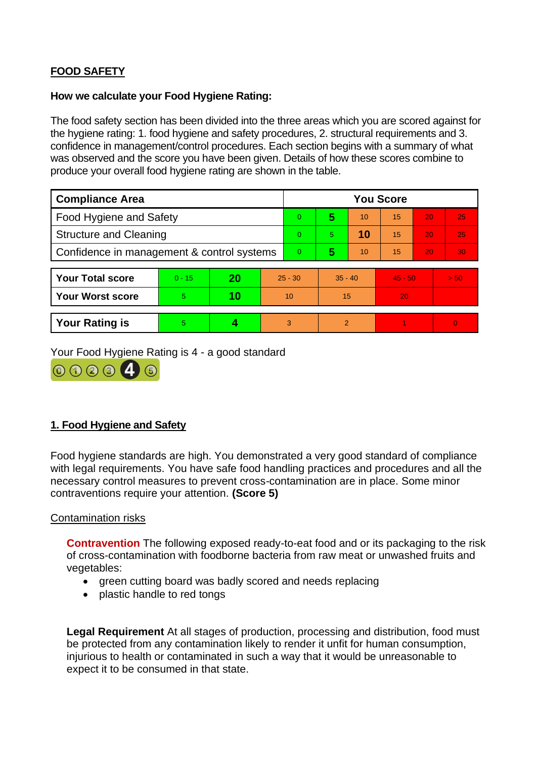# **FOOD SAFETY**

### **How we calculate your Food Hygiene Rating:**

The food safety section has been divided into the three areas which you are scored against for the hygiene rating: 1. food hygiene and safety procedures, 2. structural requirements and 3. confidence in management/control procedures. Each section begins with a summary of what was observed and the score you have been given. Details of how these scores combine to produce your overall food hygiene rating are shown in the table.

| <b>Compliance Area</b>                     |          |    |                | <b>You Score</b> |                |    |           |    |          |
|--------------------------------------------|----------|----|----------------|------------------|----------------|----|-----------|----|----------|
| Food Hygiene and Safety                    |          |    |                | $\overline{0}$   | 5              | 10 | 15        | 20 | 25       |
| <b>Structure and Cleaning</b>              |          |    |                | $\Omega$         | 5              | 10 | 15        | 20 | 25       |
| Confidence in management & control systems |          |    | $\overline{0}$ | 5                | 10             | 15 | 20        | 30 |          |
|                                            |          |    |                |                  |                |    |           |    |          |
| <b>Your Total score</b>                    | $0 - 15$ | 20 | $25 - 30$      |                  | $35 - 40$      |    | $45 - 50$ |    | > 50     |
| <b>Your Worst score</b>                    | 5        | 10 | 10             |                  | 15             |    | 20        |    |          |
|                                            |          |    |                |                  |                |    |           |    |          |
| <b>Your Rating is</b>                      | 5        |    |                | 3                | $\overline{2}$ |    |           |    | $\Omega$ |

Your Food Hygiene Rating is 4 - a good standard



# **1. Food Hygiene and Safety**

Food hygiene standards are high. You demonstrated a very good standard of compliance with legal requirements. You have safe food handling practices and procedures and all the necessary control measures to prevent cross-contamination are in place. Some minor contraventions require your attention. **(Score 5)**

# Contamination risks

**Contravention** The following exposed ready-to-eat food and or its packaging to the risk of cross-contamination with foodborne bacteria from raw meat or unwashed fruits and vegetables:

- green cutting board was badly scored and needs replacing
- plastic handle to red tongs

**Legal Requirement** At all stages of production, processing and distribution, food must be protected from any contamination likely to render it unfit for human consumption, injurious to health or contaminated in such a way that it would be unreasonable to expect it to be consumed in that state.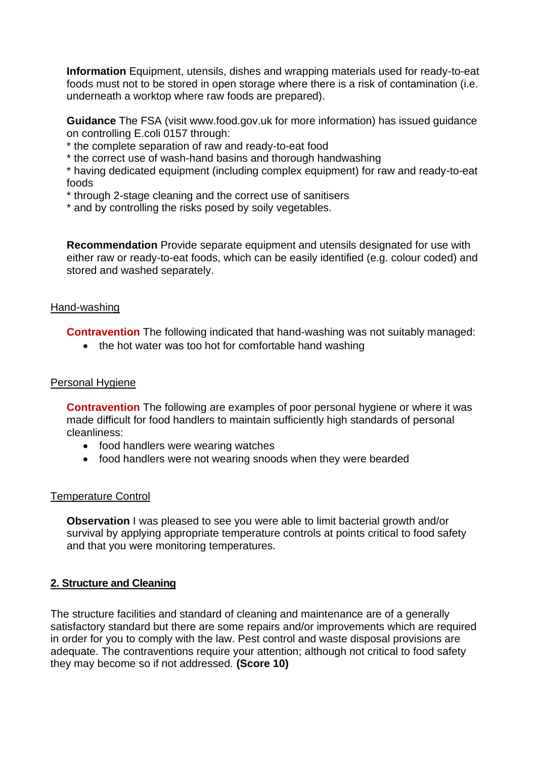**Information** Equipment, utensils, dishes and wrapping materials used for ready-to-eat foods must not to be stored in open storage where there is a risk of contamination (i.e. underneath a worktop where raw foods are prepared).

**Guidance** The FSA (visit www.food.gov.uk for more information) has issued guidance on controlling E.coli 0157 through:

\* the complete separation of raw and ready-to-eat food

\* the correct use of wash-hand basins and thorough handwashing

\* having dedicated equipment (including complex equipment) for raw and ready-to-eat foods

\* through 2-stage cleaning and the correct use of sanitisers

\* and by controlling the risks posed by soily vegetables.

**Recommendation** Provide separate equipment and utensils designated for use with either raw or ready-to-eat foods, which can be easily identified (e.g. colour coded) and stored and washed separately.

### Hand-washing

**Contravention** The following indicated that hand-washing was not suitably managed:

• the hot water was too hot for comfortable hand washing

# Personal Hygiene

**Contravention** The following are examples of poor personal hygiene or where it was made difficult for food handlers to maintain sufficiently high standards of personal cleanliness:

- food handlers were wearing watches
- food handlers were not wearing snoods when they were bearded

# Temperature Control

**Observation I** was pleased to see you were able to limit bacterial growth and/or survival by applying appropriate temperature controls at points critical to food safety and that you were monitoring temperatures.

# **2. Structure and Cleaning**

The structure facilities and standard of cleaning and maintenance are of a generally satisfactory standard but there are some repairs and/or improvements which are required in order for you to comply with the law. Pest control and waste disposal provisions are adequate. The contraventions require your attention; although not critical to food safety they may become so if not addressed. **(Score 10)**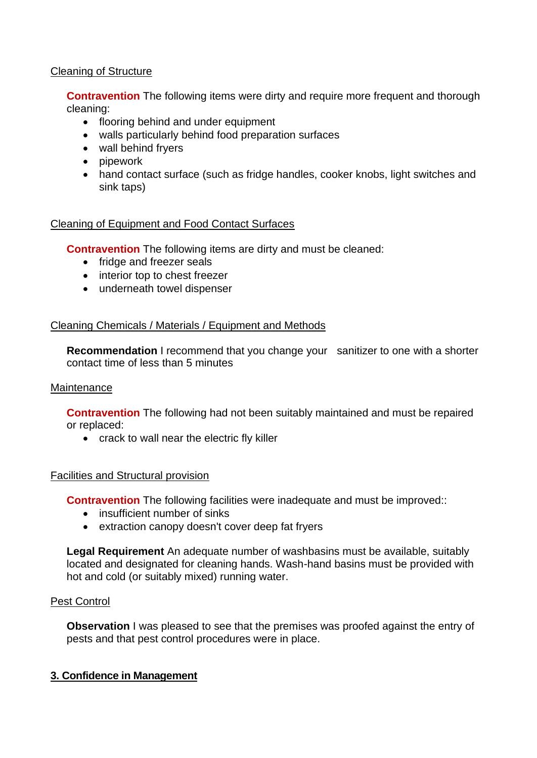# Cleaning of Structure

**Contravention** The following items were dirty and require more frequent and thorough cleaning:

- flooring behind and under equipment
- walls particularly behind food preparation surfaces
- wall behind fryers
- pipework
- hand contact surface (such as fridge handles, cooker knobs, light switches and sink taps)

# Cleaning of Equipment and Food Contact Surfaces

**Contravention** The following items are dirty and must be cleaned:

- fridge and freezer seals
- interior top to chest freezer
- underneath towel dispenser

# Cleaning Chemicals / Materials / Equipment and Methods

**Recommendation** I recommend that you change your sanitizer to one with a shorter contact time of less than 5 minutes

# **Maintenance**

**Contravention** The following had not been suitably maintained and must be repaired or replaced:

• crack to wall near the electric fly killer

# Facilities and Structural provision

**Contravention** The following facilities were inadequate and must be improved::

- insufficient number of sinks
- extraction canopy doesn't cover deep fat fryers

**Legal Requirement** An adequate number of washbasins must be available, suitably located and designated for cleaning hands. Wash-hand basins must be provided with hot and cold (or suitably mixed) running water.

# Pest Control

**Observation** I was pleased to see that the premises was proofed against the entry of pests and that pest control procedures were in place.

# **3. Confidence in Management**